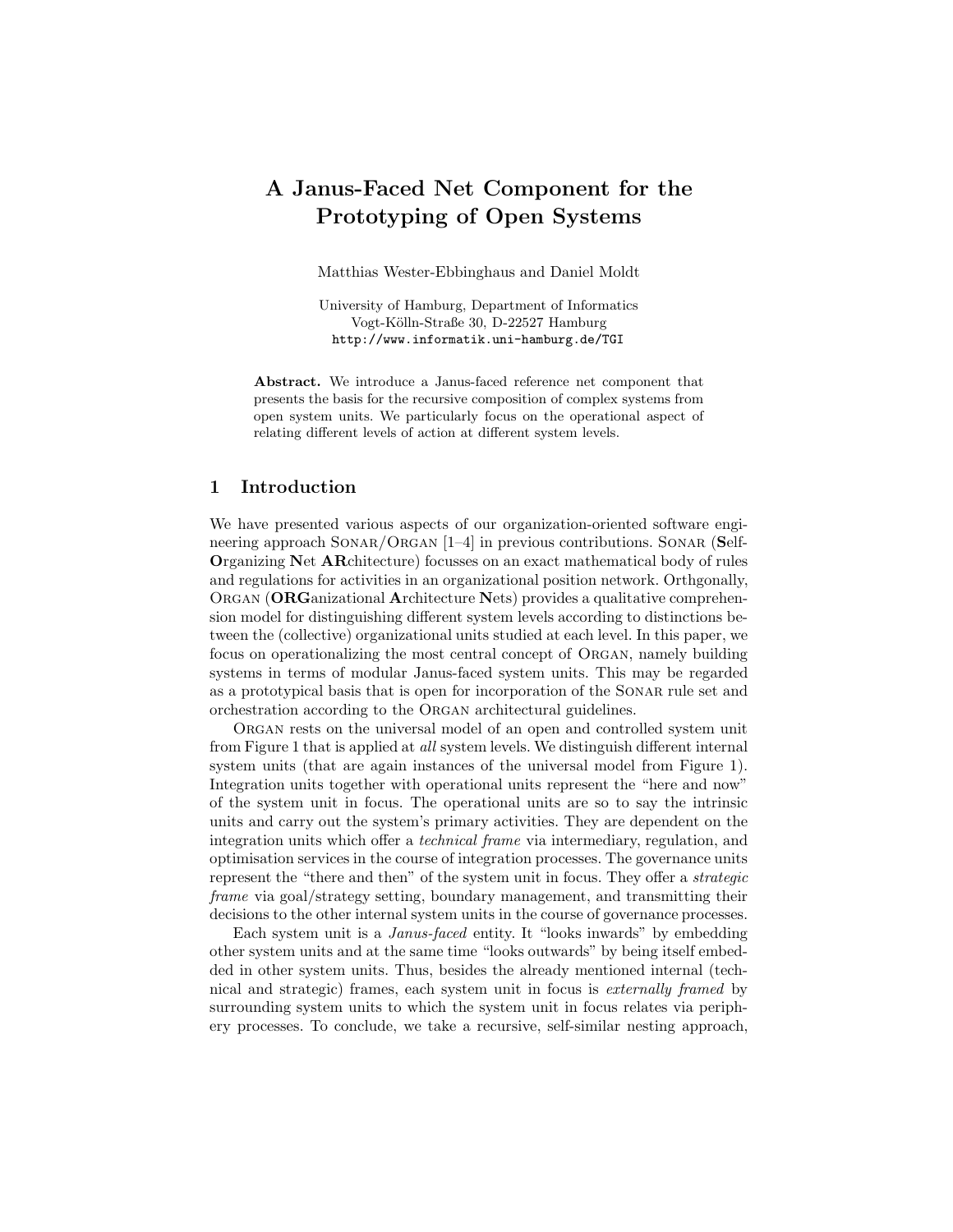# A Janus-Faced Net Component for the Prototyping of Open Systems

Matthias Wester-Ebbinghaus and Daniel Moldt

University of Hamburg, Department of Informatics Vogt-Kölln-Straße 30, D-22527 Hamburg http://www.informatik.uni-hamburg.de/TGI

Abstract. We introduce a Janus-faced reference net component that presents the basis for the recursive composition of complex systems from open system units. We particularly focus on the operational aspect of relating different levels of action at different system levels.

### 1 Introduction

We have presented various aspects of our organization-oriented software engineering approach SONAR/ORGAN [1–4] in previous contributions. SONAR (Self-Organizing Net ARchitecture) focusses on an exact mathematical body of rules and regulations for activities in an organizational position network. Orthgonally, ORGAN (ORGanizational Architecture Nets) provides a qualitative comprehension model for distinguishing different system levels according to distinctions between the (collective) organizational units studied at each level. In this paper, we focus on operationalizing the most central concept of Organ, namely building systems in terms of modular Janus-faced system units. This may be regarded as a prototypical basis that is open for incorporation of the Sonar rule set and orchestration according to the Organ architectural guidelines.

Organ rests on the universal model of an open and controlled system unit from Figure 1 that is applied at all system levels. We distinguish different internal system units (that are again instances of the universal model from Figure 1). Integration units together with operational units represent the "here and now" of the system unit in focus. The operational units are so to say the intrinsic units and carry out the system's primary activities. They are dependent on the integration units which offer a technical frame via intermediary, regulation, and optimisation services in the course of integration processes. The governance units represent the "there and then" of the system unit in focus. They offer a strategic frame via goal/strategy setting, boundary management, and transmitting their decisions to the other internal system units in the course of governance processes.

Each system unit is a Janus-faced entity. It "looks inwards" by embedding other system units and at the same time "looks outwards" by being itself embedded in other system units. Thus, besides the already mentioned internal (technical and strategic) frames, each system unit in focus is externally framed by surrounding system units to which the system unit in focus relates via periphery processes. To conclude, we take a recursive, self-similar nesting approach,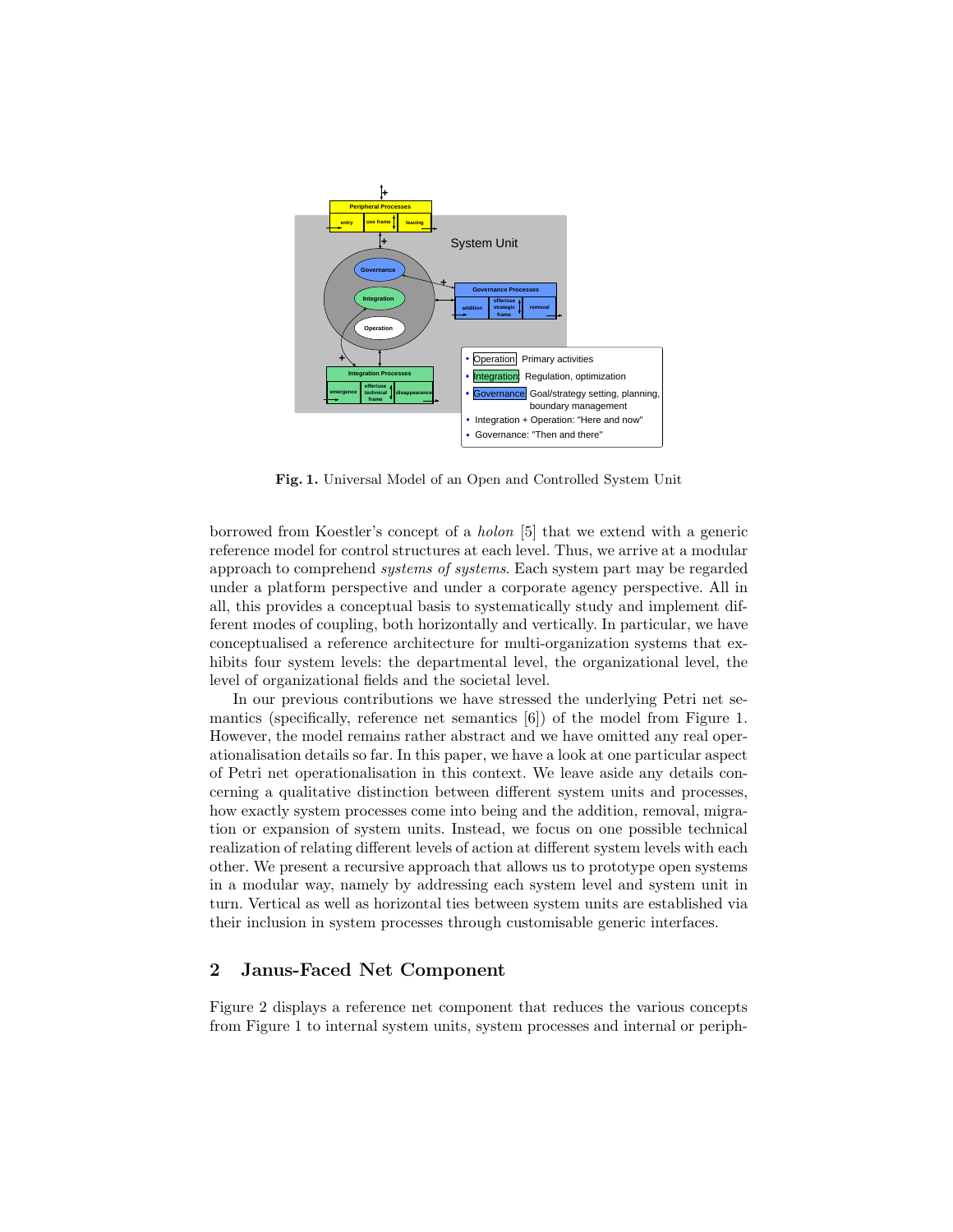

Fig. 1. Universal Model of an Open and Controlled System Unit

borrowed from Koestler's concept of a holon [5] that we extend with a generic reference model for control structures at each level. Thus, we arrive at a modular approach to comprehend systems of systems. Each system part may be regarded under a platform perspective and under a corporate agency perspective. All in all, this provides a conceptual basis to systematically study and implement different modes of coupling, both horizontally and vertically. In particular, we have conceptualised a reference architecture for multi-organization systems that exhibits four system levels: the departmental level, the organizational level, the level of organizational fields and the societal level.

In our previous contributions we have stressed the underlying Petri net semantics (specifically, reference net semantics [6]) of the model from Figure 1. However, the model remains rather abstract and we have omitted any real operationalisation details so far. In this paper, we have a look at one particular aspect of Petri net operationalisation in this context. We leave aside any details concerning a qualitative distinction between different system units and processes, how exactly system processes come into being and the addition, removal, migration or expansion of system units. Instead, we focus on one possible technical realization of relating different levels of action at different system levels with each other. We present a recursive approach that allows us to prototype open systems in a modular way, namely by addressing each system level and system unit in turn. Vertical as well as horizontal ties between system units are established via their inclusion in system processes through customisable generic interfaces.

### 2 Janus-Faced Net Component

Figure 2 displays a reference net component that reduces the various concepts from Figure 1 to internal system units, system processes and internal or periph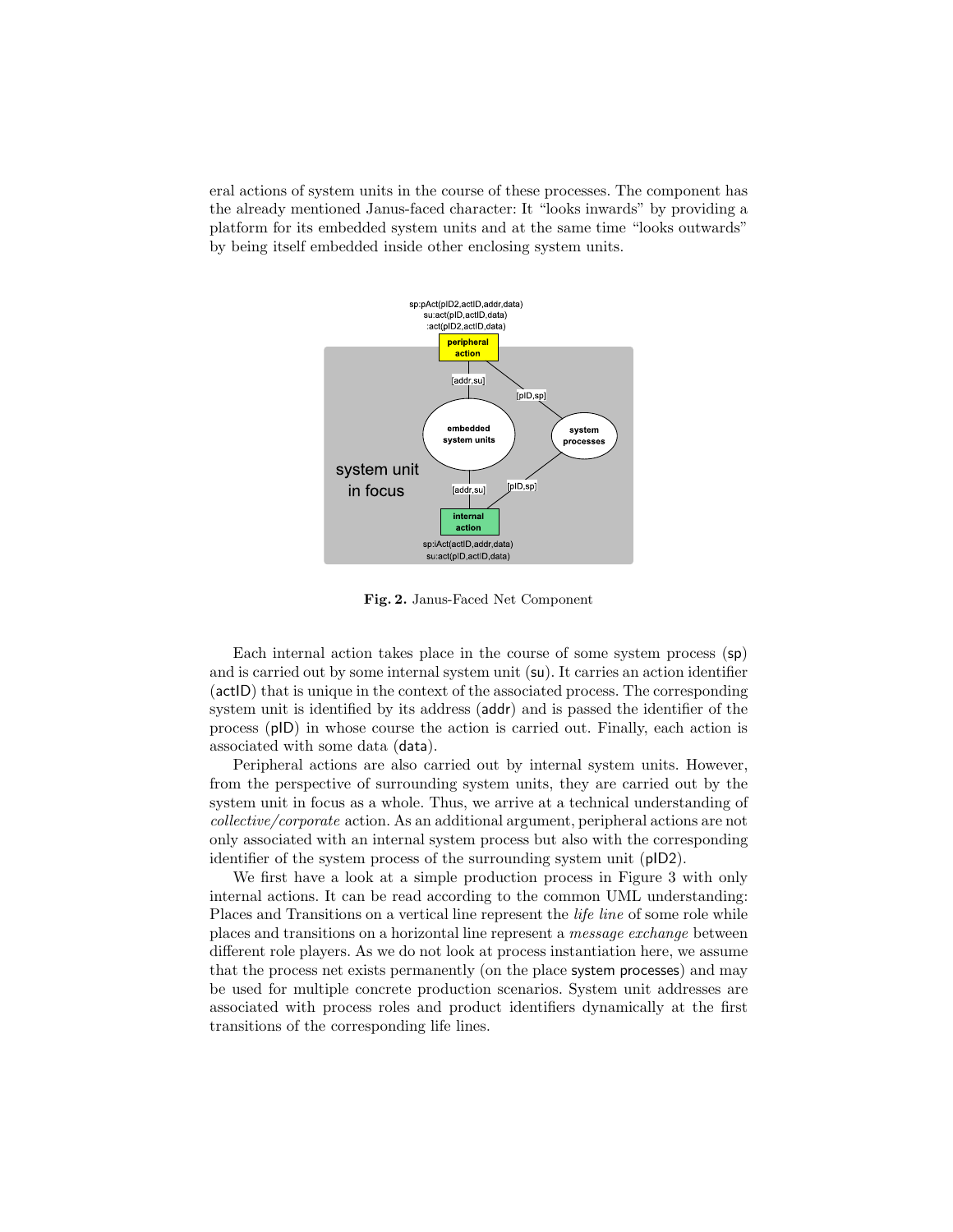eral actions of system units in the course of these processes. The component has the already mentioned Janus-faced character: It "looks inwards" by providing a platform for its embedded system units and at the same time "looks outwards" by being itself embedded inside other enclosing system units.



Fig. 2. Janus-Faced Net Component

Each internal action takes place in the course of some system process (sp) and is carried out by some internal system unit (su). It carries an action identifier (actID) that is unique in the context of the associated process. The corresponding system unit is identified by its address (addr) and is passed the identifier of the process (pID) in whose course the action is carried out. Finally, each action is associated with some data (data).

Peripheral actions are also carried out by internal system units. However, from the perspective of surrounding system units, they are carried out by the system unit in focus as a whole. Thus, we arrive at a technical understanding of collective/corporate action. As an additional argument, peripheral actions are not only associated with an internal system process but also with the corresponding identifier of the system process of the surrounding system unit (pID2).

We first have a look at a simple production process in Figure 3 with only internal actions. It can be read according to the common UML understanding: Places and Transitions on a vertical line represent the life line of some role while places and transitions on a horizontal line represent a message exchange between different role players. As we do not look at process instantiation here, we assume that the process net exists permanently (on the place system processes) and may be used for multiple concrete production scenarios. System unit addresses are associated with process roles and product identifiers dynamically at the first transitions of the corresponding life lines.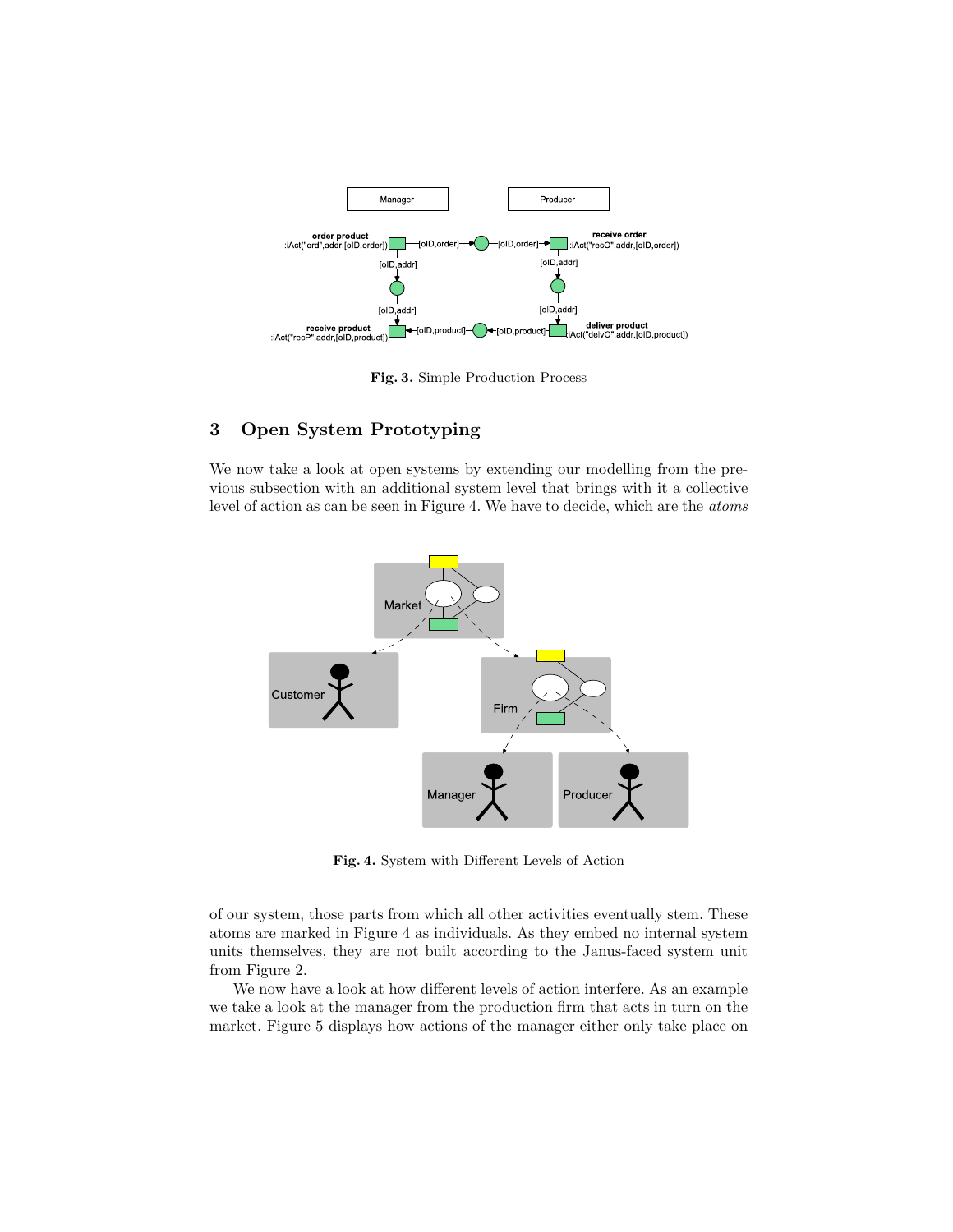

Fig. 3. Simple Production Process

## 3 Open System Prototyping

We now take a look at open systems by extending our modelling from the previous subsection with an additional system level that brings with it a collective level of action as can be seen in Figure 4. We have to decide, which are the atoms



Fig. 4. System with Different Levels of Action

of our system, those parts from which all other activities eventually stem. These atoms are marked in Figure 4 as individuals. As they embed no internal system units themselves, they are not built according to the Janus-faced system unit from Figure 2.

We now have a look at how different levels of action interfere. As an example we take a look at the manager from the production firm that acts in turn on the market. Figure 5 displays how actions of the manager either only take place on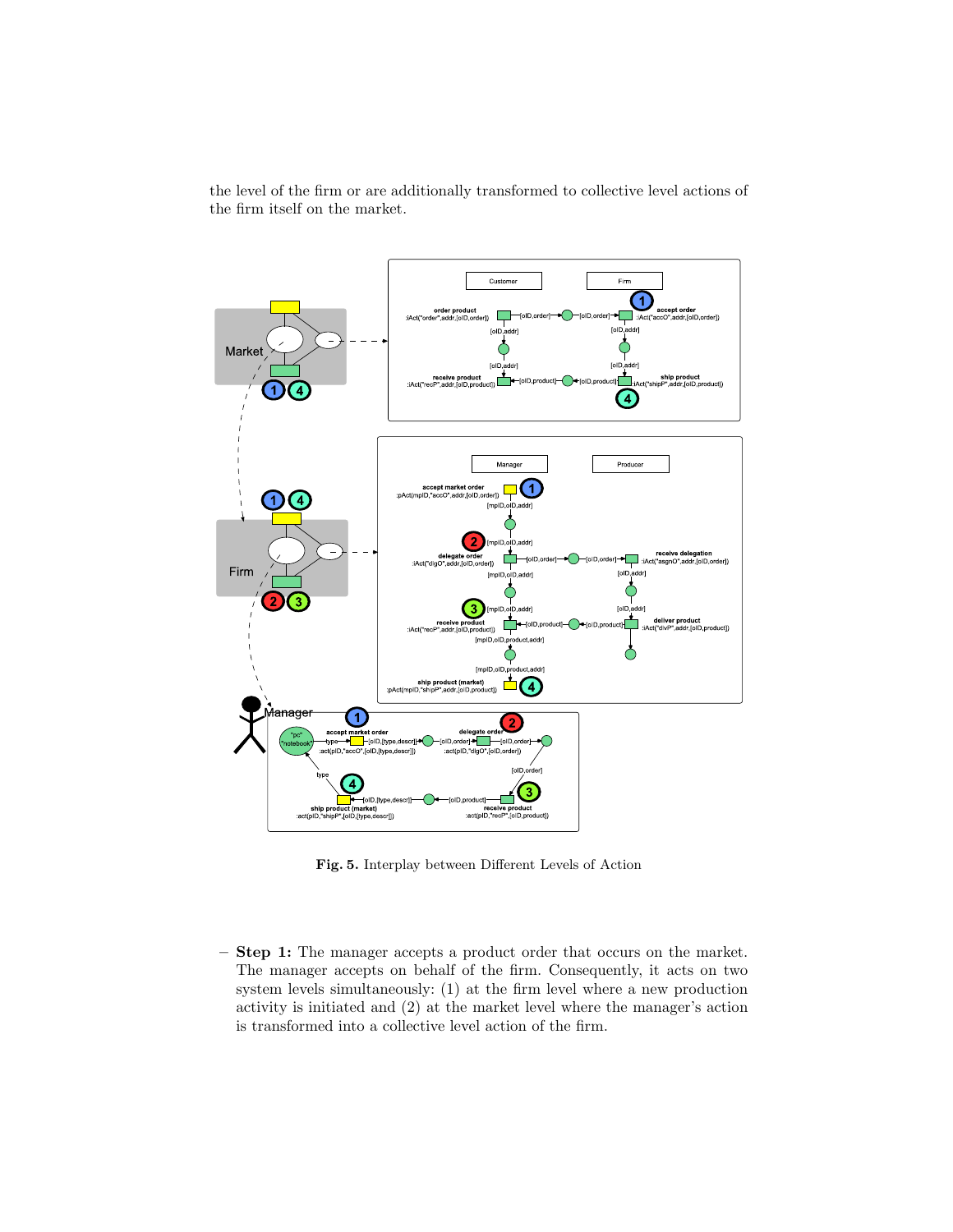the level of the firm or are additionally transformed to collective level actions of the firm itself on the market.



Fig. 5. Interplay between Different Levels of Action

– Step 1: The manager accepts a product order that occurs on the market. The manager accepts on behalf of the firm. Consequently, it acts on two system levels simultaneously: (1) at the firm level where a new production activity is initiated and (2) at the market level where the manager's action is transformed into a collective level action of the firm.